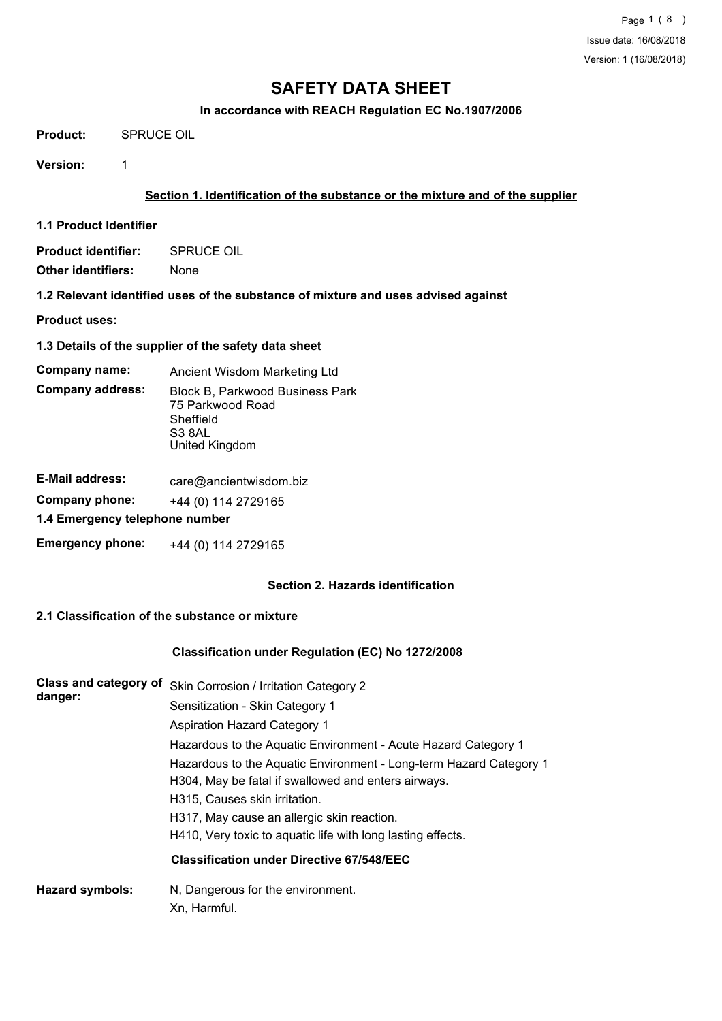## **In accordance with REACH Regulation EC No.1907/2006**

**Product:** SPRUCE OIL

**Version:** 1

## **Section 1. Identification of the substance or the mixture and of the supplier**

**1.1 Product Identifier**

**Product identifier:** SPRUCE OIL

- **Other identifiers:** None
- **1.2 Relevant identified uses of the substance of mixture and uses advised against**

**Product uses:**

**1.3 Details of the supplier of the safety data sheet**

**Company name:** Ancient Wisdom Marketing Ltd

Block B, Parkwood Business Park 75 Parkwood Road S3 8AL United Kingdom Sheffield **Company address:**

| <b>E-Mail address:</b>         | care@ancientwisdom.biz |  |
|--------------------------------|------------------------|--|
| Company phone:                 | +44 (0) 114 2729165    |  |
| 1.4 Emergency telephone number |                        |  |
| <b>Emergency phone:</b>        | +44 (0) 114 2729165    |  |

## **Section 2. Hazards identification**

## **2.1 Classification of the substance or mixture**

## **Classification under Regulation (EC) No 1272/2008**

| Class and category of<br>danger: | Skin Corrosion / Irritation Category 2                                                                                    |
|----------------------------------|---------------------------------------------------------------------------------------------------------------------------|
|                                  | Sensitization - Skin Category 1                                                                                           |
|                                  | <b>Aspiration Hazard Category 1</b>                                                                                       |
|                                  | Hazardous to the Aquatic Environment - Acute Hazard Category 1                                                            |
|                                  | Hazardous to the Aquatic Environment - Long-term Hazard Category 1<br>H304, May be fatal if swallowed and enters airways. |
|                                  | H315, Causes skin irritation.                                                                                             |
|                                  | H317, May cause an allergic skin reaction.                                                                                |
|                                  | H410, Very toxic to aquatic life with long lasting effects.                                                               |
|                                  | <b>Classification under Directive 67/548/EEC</b>                                                                          |
| <b>Hazard symbols:</b>           | N, Dangerous for the environment.                                                                                         |
|                                  | Xn, Harmful.                                                                                                              |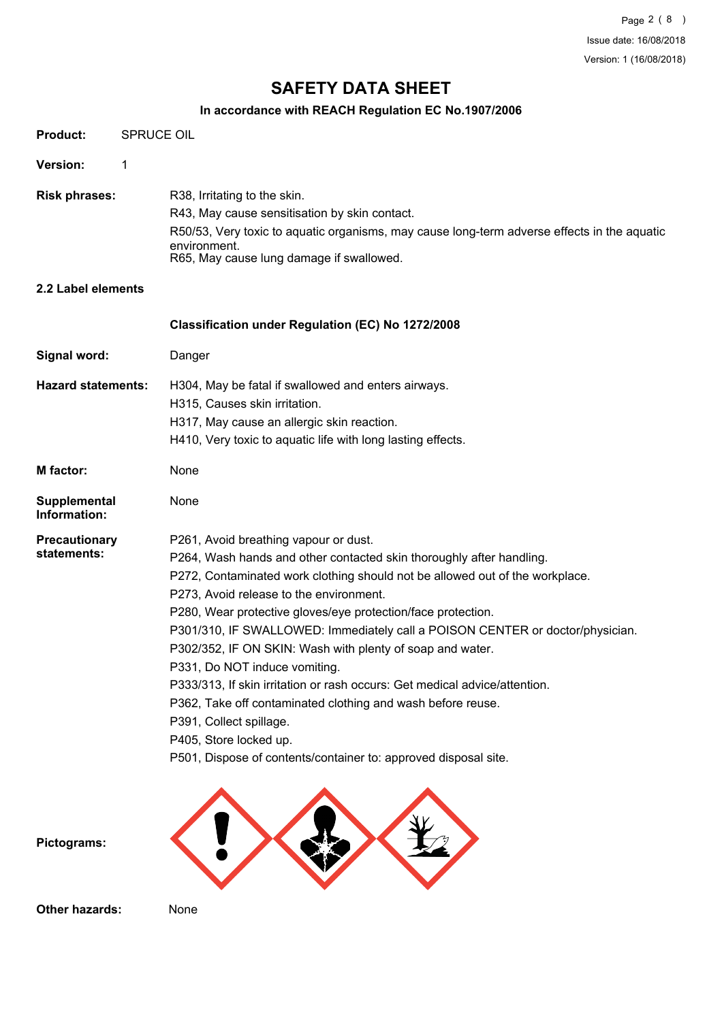## **In accordance with REACH Regulation EC No.1907/2006**

| <b>Product:</b>                     | <b>SPRUCE OIL</b> |                                                                                                                                                                                                                                                                                                                                                                                                                                                                                                                                                                                                                                                                                                                                                              |  |  |
|-------------------------------------|-------------------|--------------------------------------------------------------------------------------------------------------------------------------------------------------------------------------------------------------------------------------------------------------------------------------------------------------------------------------------------------------------------------------------------------------------------------------------------------------------------------------------------------------------------------------------------------------------------------------------------------------------------------------------------------------------------------------------------------------------------------------------------------------|--|--|
| Version:                            | 1                 |                                                                                                                                                                                                                                                                                                                                                                                                                                                                                                                                                                                                                                                                                                                                                              |  |  |
| <b>Risk phrases:</b>                |                   | R38, Irritating to the skin.<br>R43, May cause sensitisation by skin contact.<br>R50/53, Very toxic to aquatic organisms, may cause long-term adverse effects in the aquatic<br>environment.<br>R65, May cause lung damage if swallowed.                                                                                                                                                                                                                                                                                                                                                                                                                                                                                                                     |  |  |
| 2.2 Label elements                  |                   |                                                                                                                                                                                                                                                                                                                                                                                                                                                                                                                                                                                                                                                                                                                                                              |  |  |
|                                     |                   | Classification under Regulation (EC) No 1272/2008                                                                                                                                                                                                                                                                                                                                                                                                                                                                                                                                                                                                                                                                                                            |  |  |
| Signal word:                        |                   | Danger                                                                                                                                                                                                                                                                                                                                                                                                                                                                                                                                                                                                                                                                                                                                                       |  |  |
| <b>Hazard statements:</b>           |                   | H304, May be fatal if swallowed and enters airways.<br>H315, Causes skin irritation.<br>H317, May cause an allergic skin reaction.<br>H410, Very toxic to aquatic life with long lasting effects.                                                                                                                                                                                                                                                                                                                                                                                                                                                                                                                                                            |  |  |
| <b>M</b> factor:                    |                   | None                                                                                                                                                                                                                                                                                                                                                                                                                                                                                                                                                                                                                                                                                                                                                         |  |  |
| Supplemental<br>Information:        |                   | None                                                                                                                                                                                                                                                                                                                                                                                                                                                                                                                                                                                                                                                                                                                                                         |  |  |
| <b>Precautionary</b><br>statements: |                   | P261, Avoid breathing vapour or dust.<br>P264, Wash hands and other contacted skin thoroughly after handling.<br>P272, Contaminated work clothing should not be allowed out of the workplace.<br>P273, Avoid release to the environment.<br>P280, Wear protective gloves/eye protection/face protection.<br>P301/310, IF SWALLOWED: Immediately call a POISON CENTER or doctor/physician.<br>P302/352, IF ON SKIN: Wash with plenty of soap and water.<br>P331, Do NOT induce vomiting.<br>P333/313, If skin irritation or rash occurs: Get medical advice/attention.<br>P362, Take off contaminated clothing and wash before reuse.<br>P391, Collect spillage.<br>P405, Store locked up.<br>P501, Dispose of contents/container to: approved disposal site. |  |  |
| Pictograms:                         |                   |                                                                                                                                                                                                                                                                                                                                                                                                                                                                                                                                                                                                                                                                                                                                                              |  |  |
| <b>Other hazards:</b>               |                   | None                                                                                                                                                                                                                                                                                                                                                                                                                                                                                                                                                                                                                                                                                                                                                         |  |  |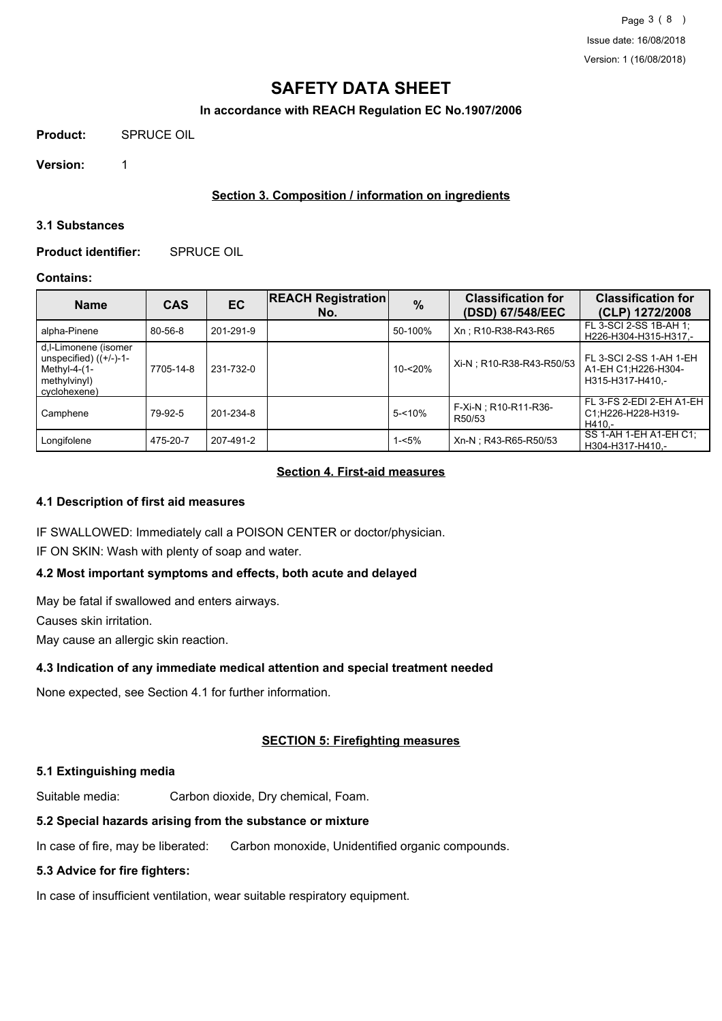## **In accordance with REACH Regulation EC No.1907/2006**

**Product:** SPRUCE OIL

**Version:** 1

## **Section 3. Composition / information on ingredients**

#### **3.1 Substances**

**Product identifier:** SPRUCE OIL

## **Contains:**

| <b>Name</b>                                                                                           | <b>CAS</b> | <b>EC</b> | <b>REACH Registration</b><br>No. | $\frac{0}{0}$ | <b>Classification for</b><br>(DSD) 67/548/EEC | <b>Classification for</b><br>(CLP) 1272/2008                       |
|-------------------------------------------------------------------------------------------------------|------------|-----------|----------------------------------|---------------|-----------------------------------------------|--------------------------------------------------------------------|
| alpha-Pinene                                                                                          | 80-56-8    | 201-291-9 |                                  | 50-100%       | Xn: R10-R38-R43-R65                           | FL 3-SCI 2-SS 1B-AH 1:<br>H226-H304-H315-H317,-                    |
| d,I-Limonene (isomer<br>unspecified) $((+/-)-1-$<br>Methyl-4- $(1-$<br>methylvinyl)<br>I cvclohexene) | 7705-14-8  | 231-732-0 |                                  | $10 - 20%$    | Xi-N; R10-R38-R43-R50/53                      | FL 3-SCI 2-SS 1-AH 1-EH<br>A1-EH C1;H226-H304-<br>H315-H317-H410.- |
| Camphene                                                                                              | 79-92-5    | 201-234-8 |                                  | $5 - 10%$     | F-Xi-N; R10-R11-R36-<br>R50/53                | FL 3-FS 2-EDI 2-EH A1-EH<br>C1;H226-H228-H319-<br>H410.-           |
| Longifolene                                                                                           | 475-20-7   | 207-491-2 |                                  | 1-<5%         | Xn-N; R43-R65-R50/53                          | SS 1-AH 1-EH A1-EH C1:<br>H304-H317-H410,-                         |

## **Section 4. First-aid measures**

## **4.1 Description of first aid measures**

IF SWALLOWED: Immediately call a POISON CENTER or doctor/physician.

IF ON SKIN: Wash with plenty of soap and water.

## **4.2 Most important symptoms and effects, both acute and delayed**

May be fatal if swallowed and enters airways.

Causes skin irritation.

May cause an allergic skin reaction.

## **4.3 Indication of any immediate medical attention and special treatment needed**

None expected, see Section 4.1 for further information.

## **SECTION 5: Firefighting measures**

## **5.1 Extinguishing media**

Suitable media: Carbon dioxide, Dry chemical, Foam.

## **5.2 Special hazards arising from the substance or mixture**

In case of fire, may be liberated: Carbon monoxide, Unidentified organic compounds.

## **5.3 Advice for fire fighters:**

In case of insufficient ventilation, wear suitable respiratory equipment.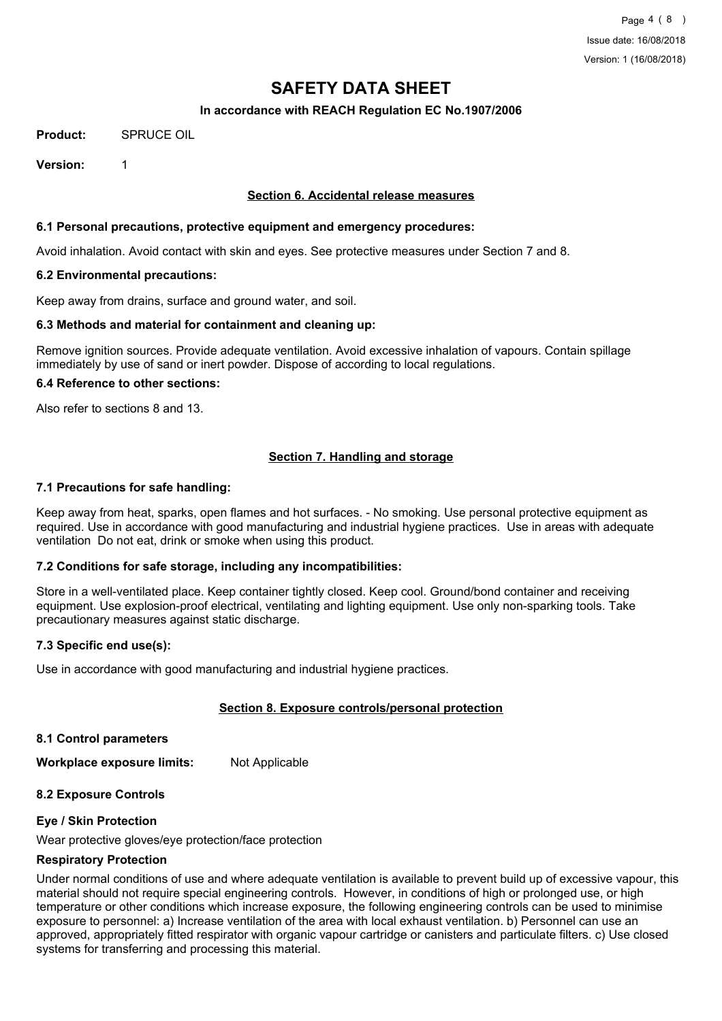## **In accordance with REACH Regulation EC No.1907/2006**

**Product:** SPRUCE OIL

**Version:** 1

## **Section 6. Accidental release measures**

## **6.1 Personal precautions, protective equipment and emergency procedures:**

Avoid inhalation. Avoid contact with skin and eyes. See protective measures under Section 7 and 8.

## **6.2 Environmental precautions:**

Keep away from drains, surface and ground water, and soil.

## **6.3 Methods and material for containment and cleaning up:**

Remove ignition sources. Provide adequate ventilation. Avoid excessive inhalation of vapours. Contain spillage immediately by use of sand or inert powder. Dispose of according to local regulations.

#### **6.4 Reference to other sections:**

Also refer to sections 8 and 13.

## **Section 7. Handling and storage**

## **7.1 Precautions for safe handling:**

Keep away from heat, sparks, open flames and hot surfaces. - No smoking. Use personal protective equipment as required. Use in accordance with good manufacturing and industrial hygiene practices. Use in areas with adequate ventilation Do not eat, drink or smoke when using this product.

## **7.2 Conditions for safe storage, including any incompatibilities:**

Store in a well-ventilated place. Keep container tightly closed. Keep cool. Ground/bond container and receiving equipment. Use explosion-proof electrical, ventilating and lighting equipment. Use only non-sparking tools. Take precautionary measures against static discharge.

## **7.3 Specific end use(s):**

Use in accordance with good manufacturing and industrial hygiene practices.

## **Section 8. Exposure controls/personal protection**

**8.1 Control parameters**

**Workplace exposure limits:** Not Applicable

## **8.2 Exposure Controls**

## **Eye / Skin Protection**

Wear protective gloves/eye protection/face protection

## **Respiratory Protection**

Under normal conditions of use and where adequate ventilation is available to prevent build up of excessive vapour, this material should not require special engineering controls. However, in conditions of high or prolonged use, or high temperature or other conditions which increase exposure, the following engineering controls can be used to minimise exposure to personnel: a) Increase ventilation of the area with local exhaust ventilation. b) Personnel can use an approved, appropriately fitted respirator with organic vapour cartridge or canisters and particulate filters. c) Use closed systems for transferring and processing this material.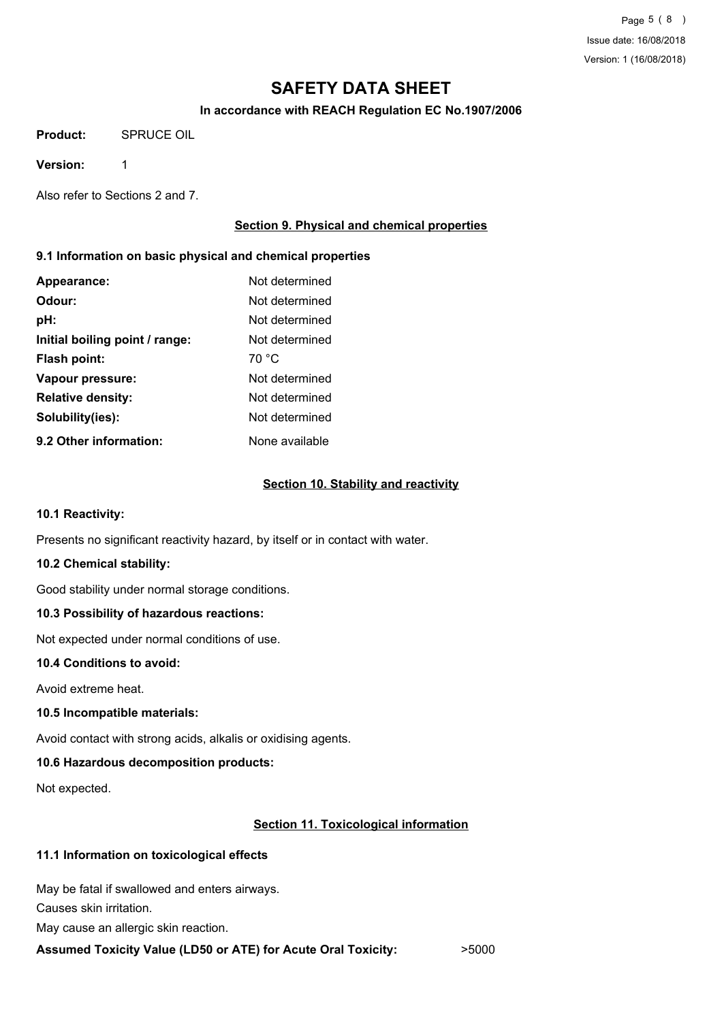## **In accordance with REACH Regulation EC No.1907/2006**

**Product:** SPRUCE OIL

**Version:** 1

Also refer to Sections 2 and 7.

## **Section 9. Physical and chemical properties**

## **9.1 Information on basic physical and chemical properties**

| Appearance:                    | Not determined |
|--------------------------------|----------------|
| Odour:                         | Not determined |
| pH:                            | Not determined |
| Initial boiling point / range: | Not determined |
| Flash point:                   | 70 °C          |
| Vapour pressure:               | Not determined |
| <b>Relative density:</b>       | Not determined |
| Solubility(ies):               | Not determined |
| 9.2 Other information:         | None available |

## **Section 10. Stability and reactivity**

## **10.1 Reactivity:**

Presents no significant reactivity hazard, by itself or in contact with water.

## **10.2 Chemical stability:**

Good stability under normal storage conditions.

## **10.3 Possibility of hazardous reactions:**

Not expected under normal conditions of use.

## **10.4 Conditions to avoid:**

Avoid extreme heat.

## **10.5 Incompatible materials:**

Avoid contact with strong acids, alkalis or oxidising agents.

## **10.6 Hazardous decomposition products:**

Not expected.

## **Section 11. Toxicological information**

## **11.1 Information on toxicological effects**

May be fatal if swallowed and enters airways.

Causes skin irritation.

May cause an allergic skin reaction.

## **Assumed Toxicity Value (LD50 or ATE) for Acute Oral Toxicity:** >5000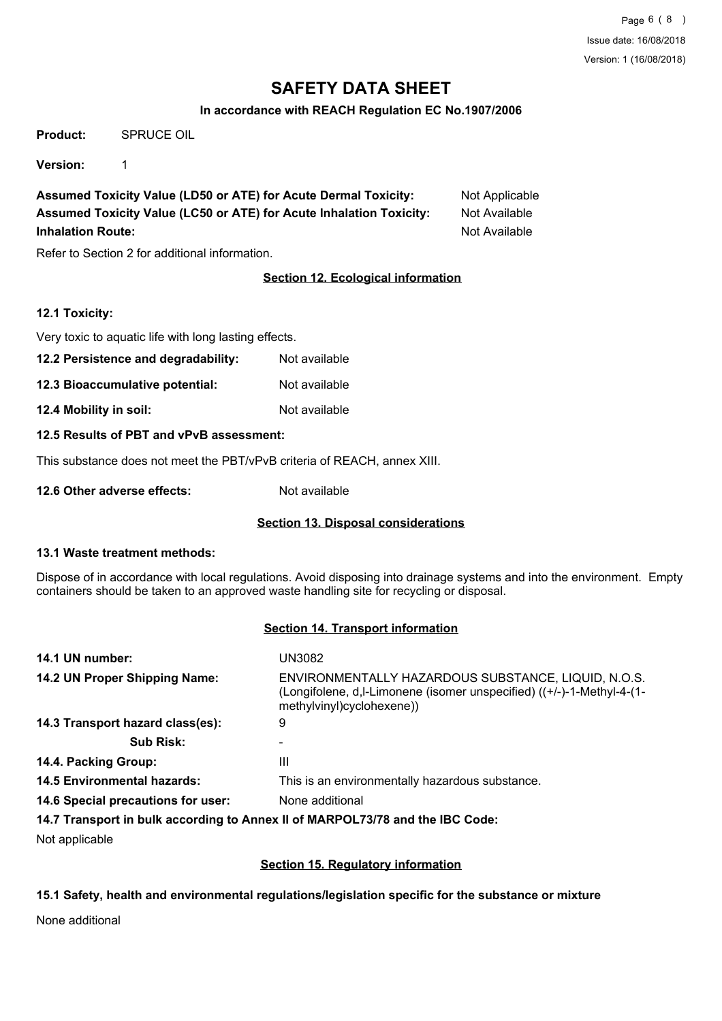## **In accordance with REACH Regulation EC No.1907/2006**

**Product:** SPRUCE OIL

**Version:** 1

**Assumed Toxicity Value (LD50 or ATE) for Acute Dermal Toxicity:** Not Applicable **Assumed Toxicity Value (LC50 or ATE) for Acute Inhalation Toxicity:** Not Available **Inhalation Route:** Not Available **Not Available** 

Refer to Section 2 for additional information.

## **Section 12. Ecological information**

## **12.1 Toxicity:**

Very toxic to aquatic life with long lasting effects.

- **12.2 Persistence and degradability:** Not available
- **12.3 Bioaccumulative potential:** Not available
- **12.4 Mobility in soil:** Not available

## **12.5 Results of PBT and vPvB assessment:**

This substance does not meet the PBT/vPvB criteria of REACH, annex XIII.

**12.6 Other adverse effects:** Not available

## **Section 13. Disposal considerations**

## **13.1 Waste treatment methods:**

Dispose of in accordance with local regulations. Avoid disposing into drainage systems and into the environment. Empty containers should be taken to an approved waste handling site for recycling or disposal.

## **Section 14. Transport information**

| 14.1 UN number:                    | UN3082                                                                                                                                                     |
|------------------------------------|------------------------------------------------------------------------------------------------------------------------------------------------------------|
| 14.2 UN Proper Shipping Name:      | ENVIRONMENTALLY HAZARDOUS SUBSTANCE, LIQUID, N.O.S.<br>(Longifolene, d, l-Limonene (isomer unspecified) ((+/-)-1-Methyl-4-(1-<br>methylvinyl)cyclohexene)) |
| 14.3 Transport hazard class(es):   | 9                                                                                                                                                          |
| <b>Sub Risk:</b>                   |                                                                                                                                                            |
| 14.4. Packing Group:               | Ш                                                                                                                                                          |
| <b>14.5 Environmental hazards:</b> | This is an environmentally hazardous substance.                                                                                                            |
| 14.6 Special precautions for user: | None additional                                                                                                                                            |
|                                    |                                                                                                                                                            |

## **14.7 Transport in bulk according to Annex II of MARPOL73/78 and the IBC Code:**

Not applicable

## **Section 15. Regulatory information**

## **15.1 Safety, health and environmental regulations/legislation specific for the substance or mixture**

None additional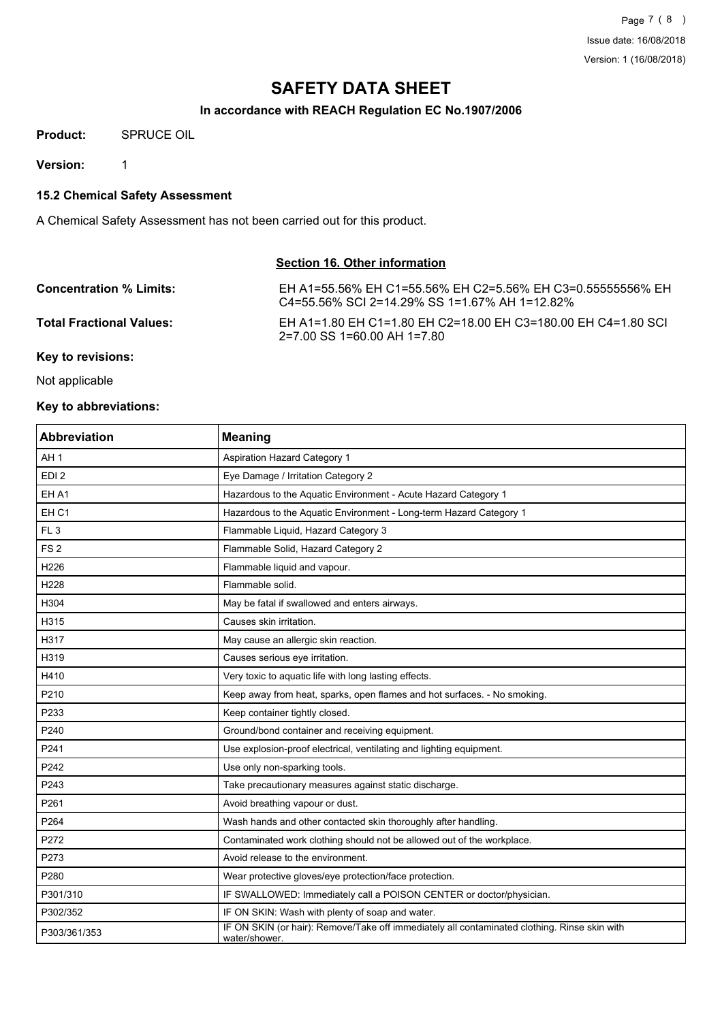## **In accordance with REACH Regulation EC No.1907/2006**

**Product:** SPRUCE OIL

**Version:** 1

**15.2 Chemical Safety Assessment**

A Chemical Safety Assessment has not been carried out for this product.

## **Section 16. Other information**

| <b>Concentration % Limits:</b>  | EH A1=55.56% EH C1=55.56% EH C2=5.56% EH C3=0.555555556% EH<br>C4=55.56% SCI 2=14.29% SS 1=1.67% AH 1=12.82% |
|---------------------------------|--------------------------------------------------------------------------------------------------------------|
| <b>Total Fractional Values:</b> | EH A1=1.80 EH C1=1.80 EH C2=18.00 EH C3=180.00 EH C4=1.80 SCI<br>2=7.00 SS 1=60.00 AH 1=7.80                 |
| Key to revisions:               |                                                                                                              |

Not applicable

## **Key to abbreviations:**

| <b>Abbreviation</b> | <b>Meaning</b>                                                                                                |
|---------------------|---------------------------------------------------------------------------------------------------------------|
| AH <sub>1</sub>     | <b>Aspiration Hazard Category 1</b>                                                                           |
| EDI <sub>2</sub>    | Eye Damage / Irritation Category 2                                                                            |
| EH A1               | Hazardous to the Aquatic Environment - Acute Hazard Category 1                                                |
| EH <sub>C1</sub>    | Hazardous to the Aquatic Environment - Long-term Hazard Category 1                                            |
| FL <sub>3</sub>     | Flammable Liquid, Hazard Category 3                                                                           |
| FS <sub>2</sub>     | Flammable Solid, Hazard Category 2                                                                            |
| H226                | Flammable liquid and vapour.                                                                                  |
| H228                | Flammable solid.                                                                                              |
| H304                | May be fatal if swallowed and enters airways.                                                                 |
| H315                | Causes skin irritation.                                                                                       |
| H317                | May cause an allergic skin reaction.                                                                          |
| H319                | Causes serious eye irritation.                                                                                |
| H410                | Very toxic to aquatic life with long lasting effects.                                                         |
| P210                | Keep away from heat, sparks, open flames and hot surfaces. - No smoking.                                      |
| P233                | Keep container tightly closed.                                                                                |
| P240                | Ground/bond container and receiving equipment.                                                                |
| P241                | Use explosion-proof electrical, ventilating and lighting equipment.                                           |
| P242                | Use only non-sparking tools.                                                                                  |
| P243                | Take precautionary measures against static discharge.                                                         |
| P261                | Avoid breathing vapour or dust.                                                                               |
| P264                | Wash hands and other contacted skin thoroughly after handling.                                                |
| P272                | Contaminated work clothing should not be allowed out of the workplace.                                        |
| P273                | Avoid release to the environment.                                                                             |
| P280                | Wear protective gloves/eye protection/face protection.                                                        |
| P301/310            | IF SWALLOWED: Immediately call a POISON CENTER or doctor/physician.                                           |
| P302/352            | IF ON SKIN: Wash with plenty of soap and water.                                                               |
| P303/361/353        | IF ON SKIN (or hair): Remove/Take off immediately all contaminated clothing. Rinse skin with<br>water/shower. |